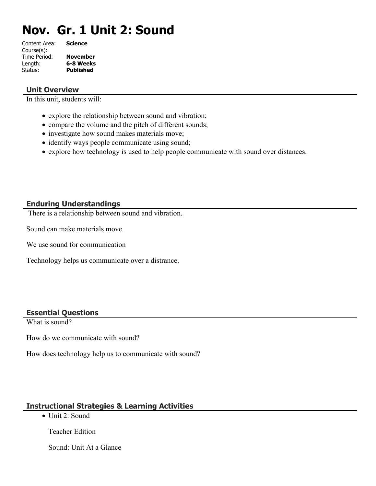# **Nov. Gr. 1 Unit 2: Sound**

| Content Area: | <b>Science</b>   |
|---------------|------------------|
| Course(s):    |                  |
| Time Period:  | <b>November</b>  |
| Length:       | 6-8 Weeks        |
| Status:       | <b>Published</b> |
|               |                  |

#### **Unit Overview**

In this unit, students will:

- explore the relationship between sound and vibration;
- compare the volume and the pitch of different sounds;
- investigate how sound makes materials move;
- identify ways people communicate using sound;
- explore how technology is used to help people communicate with sound over distances.

# **Enduring Understandings**

There is a relationship between sound and vibration.

Sound can make materials move.

We use sound for communication

Technology helps us communicate over a distrance.

# **Essential Questions**

What is sound?

How do we communicate with sound?

How does technology help us to communicate with sound?

# **Instructional Strategies & Learning Activities**

• Unit 2: Sound

Teacher Edition

Sound: Unit At a Glance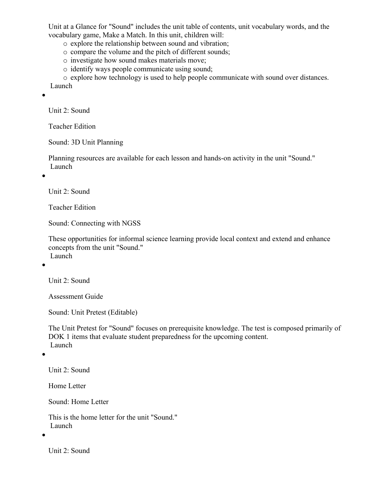Unit at a Glance for "Sound" includes the unit table of contents, unit vocabulary words, and the vocabulary game, Make a Match. In this unit, children will:

o explore the relationship between sound and vibration;

o compare the volume and the pitch of different sounds;

o investigate how sound makes materials move;

o identify ways people communicate using sound;

o explore how technology is used to help people communicate with sound over distances. Launch

 $\bullet$ 

Unit 2: Sound

Teacher Edition

Sound: 3D Unit Planning

Planning resources are available for each lesson and hands-on activity in the unit "Sound." Launch

 $\bullet$ 

Unit 2: Sound

Teacher Edition

Sound: Connecting with NGSS

These opportunities for informal science learning provide local context and extend and enhance concepts from the unit "Sound." Launch

 $\bullet$ 

Unit 2: Sound

Assessment Guide

Sound: Unit Pretest (Editable)

The Unit Pretest for "Sound" focuses on prerequisite knowledge. The test is composed primarily of DOK 1 items that evaluate student preparedness for the upcoming content. Launch

 $\bullet$ 

Unit 2: Sound

Home Letter

Sound: Home Letter

This is the home letter for the unit "Sound." Launch

 $\bullet$ 

Unit 2: Sound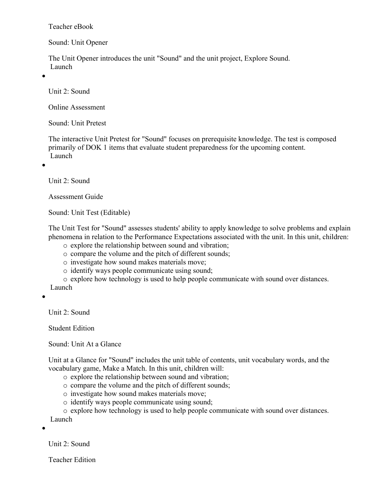Teacher eBook

Sound: Unit Opener

The Unit Opener introduces the unit "Sound" and the unit project, Explore Sound. Launch

 $\bullet$ 

Unit 2: Sound

Online Assessment

Sound: Unit Pretest

The interactive Unit Pretest for "Sound" focuses on prerequisite knowledge. The test is composed primarily of DOK 1 items that evaluate student preparedness for the upcoming content. Launch

 $\bullet$ 

Unit 2: Sound

Assessment Guide

Sound: Unit Test (Editable)

The Unit Test for "Sound" assesses students' ability to apply knowledge to solve problems and explain phenomena in relation to the Performance Expectations associated with the unit. In this unit, children:

- o explore the relationship between sound and vibration;
- o compare the volume and the pitch of different sounds;
- o investigate how sound makes materials move;
- o identify ways people communicate using sound;
- o explore how technology is used to help people communicate with sound over distances.
- Launch

 $\bullet$ 

Unit 2: Sound

Student Edition

Sound: Unit At a Glance

Unit at a Glance for "Sound" includes the unit table of contents, unit vocabulary words, and the vocabulary game, Make a Match. In this unit, children will:

- o explore the relationship between sound and vibration;
- o compare the volume and the pitch of different sounds;
- o investigate how sound makes materials move;
- o identify ways people communicate using sound;
- o explore how technology is used to help people communicate with sound over distances.

Launch

 $\bullet$ 

Unit 2: Sound

Teacher Edition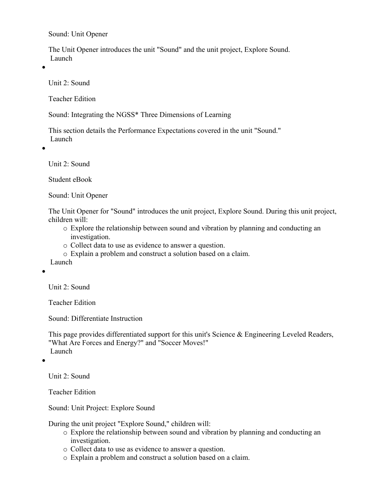Sound: Unit Opener

The Unit Opener introduces the unit "Sound" and the unit project, Explore Sound. Launch

 $\bullet$ 

Unit 2: Sound

Teacher Edition

Sound: Integrating the NGSS\* Three Dimensions of Learning

This section details the Performance Expectations covered in the unit "Sound." Launch

 $\bullet$ 

Unit 2: Sound

Student eBook

Sound: Unit Opener

The Unit Opener for "Sound" introduces the unit project, Explore Sound. During this unit project, children will:

- o Explore the relationship between sound and vibration by planning and conducting an investigation.
- o Collect data to use as evidence to answer a question.
- o Explain a problem and construct a solution based on a claim.
- Launch

 $\bullet$ 

Unit 2: Sound

Teacher Edition

Sound: Differentiate Instruction

This page provides differentiated support for this unit's Science & Engineering Leveled Readers, "What Are Forces and Energy?" and "Soccer Moves!" Launch

 $\bullet$ 

Unit 2: Sound

Teacher Edition

Sound: Unit Project: Explore Sound

During the unit project "Explore Sound," children will:

- o Explore the relationship between sound and vibration by planning and conducting an investigation.
- o Collect data to use as evidence to answer a question.
- o Explain a problem and construct a solution based on a claim.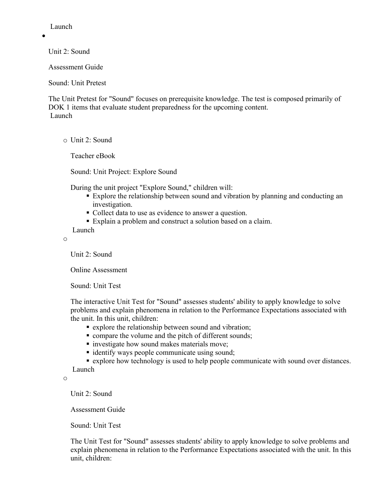Launch

 $\bullet$ 

Unit 2: Sound

Assessment Guide

Sound: Unit Pretest

The Unit Pretest for "Sound" focuses on prerequisite knowledge. The test is composed primarily of DOK 1 items that evaluate student preparedness for the upcoming content. Launch

o Unit 2: Sound

Teacher eBook

Sound: Unit Project: Explore Sound

During the unit project "Explore Sound," children will:

- Explore the relationship between sound and vibration by planning and conducting an investigation.
- Collect data to use as evidence to answer a question.
- Explain a problem and construct a solution based on a claim.

Launch

o

Unit 2: Sound

Online Assessment

Sound: Unit Test

The interactive Unit Test for "Sound" assesses students' ability to apply knowledge to solve problems and explain phenomena in relation to the Performance Expectations associated with the unit. In this unit, children:

- explore the relationship between sound and vibration;
- **compare the volume and the pitch of different sounds;**
- **n** investigate how sound makes materials move;
- identify ways people communicate using sound;

 explore how technology is used to help people communicate with sound over distances. Launch

o

Unit 2: Sound

Assessment Guide

Sound: Unit Test

The Unit Test for "Sound" assesses students' ability to apply knowledge to solve problems and explain phenomena in relation to the Performance Expectations associated with the unit. In this unit, children: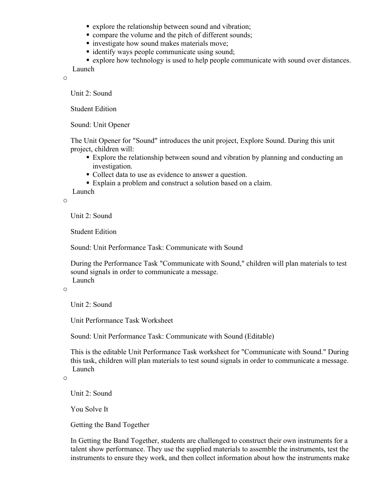- **Explore the relationship between sound and vibration;**
- **compare the volume and the pitch of different sounds;**
- **i** investigate how sound makes materials move;
- identify ways people communicate using sound;
- explore how technology is used to help people communicate with sound over distances.

Launch

o

Unit 2: Sound

Student Edition

Sound: Unit Opener

The Unit Opener for "Sound" introduces the unit project, Explore Sound. During this unit project, children will:

- Explore the relationship between sound and vibration by planning and conducting an investigation.
- Collect data to use as evidence to answer a question.
- Explain a problem and construct a solution based on a claim.

Launch

o

Unit 2: Sound

Student Edition

Sound: Unit Performance Task: Communicate with Sound

During the Performance Task "Communicate with Sound," children will plan materials to test sound signals in order to communicate a message. Launch

o

Unit 2: Sound

Unit Performance Task Worksheet

Sound: Unit Performance Task: Communicate with Sound (Editable)

This is the editable Unit Performance Task worksheet for "Communicate with Sound." During this task, children will plan materials to test sound signals in order to communicate a message. Launch

o

Unit 2: Sound

You Solve It

Getting the Band Together

In Getting the Band Together, students are challenged to construct their own instruments for a talent show performance. They use the supplied materials to assemble the instruments, test the instruments to ensure they work, and then collect information about how the instruments make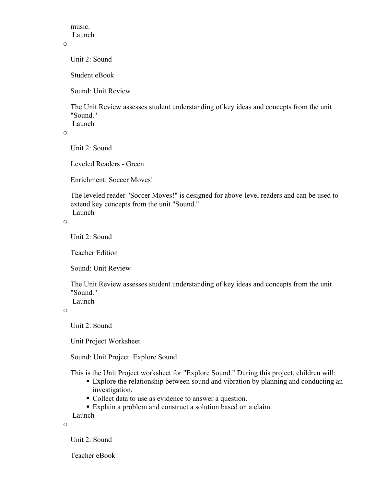music. Launch

#### o

Unit 2: Sound

Student eBook

Sound: Unit Review

The Unit Review assesses student understanding of key ideas and concepts from the unit "Sound."

Launch

o

Unit 2: Sound

Leveled Readers - Green

Enrichment: Soccer Moves!

The leveled reader "Soccer Moves!" is designed for above-level readers and can be used to extend key concepts from the unit "Sound." Launch

o

Unit 2: Sound

Teacher Edition

Sound: Unit Review

The Unit Review assesses student understanding of key ideas and concepts from the unit "Sound." Launch

o

Unit 2: Sound

Unit Project Worksheet

Sound: Unit Project: Explore Sound

This is the Unit Project worksheet for "Explore Sound." During this project, children will:

- Explore the relationship between sound and vibration by planning and conducting an investigation.
- Collect data to use as evidence to answer a question.
- Explain a problem and construct a solution based on a claim.

Launch

o

Unit 2: Sound

Teacher eBook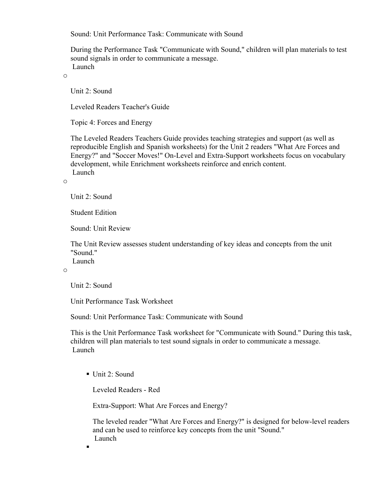Sound: Unit Performance Task: Communicate with Sound

During the Performance Task "Communicate with Sound," children will plan materials to test sound signals in order to communicate a message. Launch

o

Unit 2: Sound

Leveled Readers Teacher's Guide

Topic 4: Forces and Energy

The Leveled Readers Teachers Guide provides teaching strategies and support (as well as reproducible English and Spanish worksheets) for the Unit 2 readers "What Are Forces and Energy?" and "Soccer Moves!" On-Level and Extra-Support worksheets focus on vocabulary development, while Enrichment worksheets reinforce and enrich content. Launch

o

Unit 2: Sound

Student Edition

Sound: Unit Review

The Unit Review assesses student understanding of key ideas and concepts from the unit "Sound." Launch

o

Unit 2: Sound

н

Unit Performance Task Worksheet

Sound: Unit Performance Task: Communicate with Sound

This is the Unit Performance Task worksheet for "Communicate with Sound." During this task, children will plan materials to test sound signals in order to communicate a message. Launch

Unit 2: Sound

Leveled Readers - Red

Extra-Support: What Are Forces and Energy?

The leveled reader "What Are Forces and Energy?" is designed for below-level readers and can be used to reinforce key concepts from the unit "Sound." Launch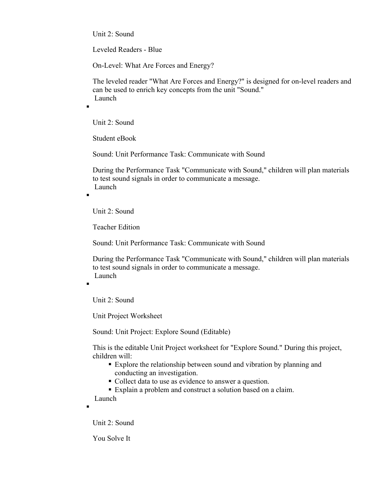Unit 2: Sound

Leveled Readers - Blue

On-Level: What Are Forces and Energy?

The leveled reader "What Are Forces and Energy?" is designed for on-level readers and can be used to enrich key concepts from the unit "Sound." Launch

Unit 2: Sound

Student eBook

Sound: Unit Performance Task: Communicate with Sound

During the Performance Task "Communicate with Sound," children will plan materials to test sound signals in order to communicate a message. Launch

 $\blacksquare$ 

 $\blacksquare$ 

٠

Unit 2: Sound

Teacher Edition

Sound: Unit Performance Task: Communicate with Sound

During the Performance Task "Communicate with Sound," children will plan materials to test sound signals in order to communicate a message. Launch

Unit 2: Sound

Unit Project Worksheet

Sound: Unit Project: Explore Sound (Editable)

This is the editable Unit Project worksheet for "Explore Sound." During this project, children will:

- Explore the relationship between sound and vibration by planning and conducting an investigation.
- Collect data to use as evidence to answer a question.

Explain a problem and construct a solution based on a claim.

Launch

٠

Unit 2: Sound

You Solve It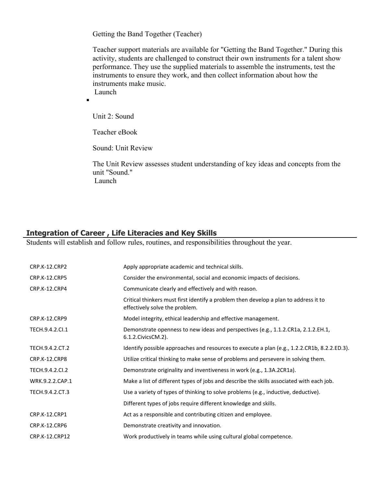Getting the Band Together (Teacher)

Teacher support materials are available for "Getting the Band Together." During this activity, students are challenged to construct their own instruments for a talent show performance. They use the supplied materials to assemble the instruments, test the instruments to ensure they work, and then collect information about how the instruments make music. Launch

п

Unit 2: Sound

Teacher eBook

Sound: Unit Review

The Unit Review assesses student understanding of key ideas and concepts from the unit "Sound." Launch

#### **Integration of Career , Life Literacies and Key Skills**

Students will establish and follow rules, routines, and responsibilities throughout the year.

| CRP.K-12.CRP2        | Apply appropriate academic and technical skills.                                                                       |
|----------------------|------------------------------------------------------------------------------------------------------------------------|
| <b>CRP.K-12.CRP5</b> | Consider the environmental, social and economic impacts of decisions.                                                  |
| CRP.K-12.CRP4        | Communicate clearly and effectively and with reason.                                                                   |
|                      | Critical thinkers must first identify a problem then develop a plan to address it to<br>effectively solve the problem. |
| <b>CRP.K-12.CRP9</b> | Model integrity, ethical leadership and effective management.                                                          |
| TECH.9.4.2.Cl.1      | Demonstrate openness to new ideas and perspectives (e.g., 1.1.2.CR1a, 2.1.2.EH.1,<br>6.1.2. Civics CM. 2).             |
| TECH.9.4.2.CT.2      | Identify possible approaches and resources to execute a plan (e.g., 1.2.2.CR1b, 8.2.2.ED.3).                           |
| CRP.K-12.CRP8        | Utilize critical thinking to make sense of problems and persevere in solving them.                                     |
| TECH.9.4.2.CI.2      | Demonstrate originality and inventiveness in work (e.g., 1.3A.2CR1a).                                                  |
| WRK.9.2.2.CAP.1      | Make a list of different types of jobs and describe the skills associated with each job.                               |
| TECH.9.4.2.CT.3      | Use a variety of types of thinking to solve problems (e.g., inductive, deductive).                                     |
|                      | Different types of jobs require different knowledge and skills.                                                        |
| CRP.K-12.CRP1        | Act as a responsible and contributing citizen and employee.                                                            |
| <b>CRP.K-12.CRP6</b> | Demonstrate creativity and innovation.                                                                                 |
| CRP.K-12.CRP12       | Work productively in teams while using cultural global competence.                                                     |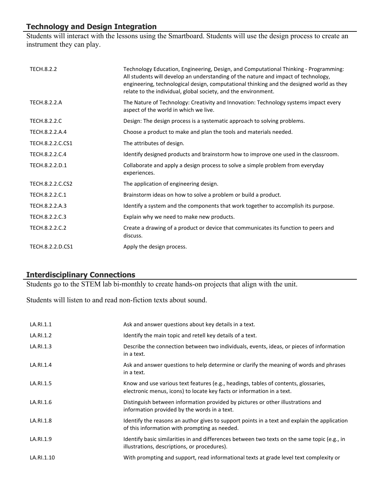# **Technology and Design Integration**

Students will interact with the lessons using the Smartboard. Students will use the design process to create an instrument they can play.

| <b>TECH.8.2.2</b>   | Technology Education, Engineering, Design, and Computational Thinking - Programming:<br>All students will develop an understanding of the nature and impact of technology,<br>engineering, technological design, computational thinking and the designed world as they<br>relate to the individual, global society, and the environment. |
|---------------------|------------------------------------------------------------------------------------------------------------------------------------------------------------------------------------------------------------------------------------------------------------------------------------------------------------------------------------------|
| <b>TECH.8.2.2.A</b> | The Nature of Technology: Creativity and Innovation: Technology systems impact every<br>aspect of the world in which we live.                                                                                                                                                                                                            |
| <b>TECH.8.2.2.C</b> | Design: The design process is a systematic approach to solving problems.                                                                                                                                                                                                                                                                 |
| TECH.8.2.2.A.4      | Choose a product to make and plan the tools and materials needed.                                                                                                                                                                                                                                                                        |
| TECH.8.2.2.C.CS1    | The attributes of design.                                                                                                                                                                                                                                                                                                                |
| TECH.8.2.2.C.4      | Identify designed products and brainstorm how to improve one used in the classroom.                                                                                                                                                                                                                                                      |
| TECH.8.2.2.D.1      | Collaborate and apply a design process to solve a simple problem from everyday<br>experiences.                                                                                                                                                                                                                                           |
| TECH.8.2.2.C.CS2    | The application of engineering design.                                                                                                                                                                                                                                                                                                   |
| TECH.8.2.2.C.1      | Brainstorm ideas on how to solve a problem or build a product.                                                                                                                                                                                                                                                                           |
| TECH.8.2.2.A.3      | Identify a system and the components that work together to accomplish its purpose.                                                                                                                                                                                                                                                       |
| TECH.8.2.2.C.3      | Explain why we need to make new products.                                                                                                                                                                                                                                                                                                |
| TECH.8.2.2.C.2      | Create a drawing of a product or device that communicates its function to peers and<br>discuss.                                                                                                                                                                                                                                          |
| TECH.8.2.2.D.CS1    | Apply the design process.                                                                                                                                                                                                                                                                                                                |

# **Interdisciplinary Connections**

Students go to the STEM lab bi-monthly to create hands-on projects that align with the unit.

Students will listen to and read non-fiction texts about sound.

| LA.RI.1.1  | Ask and answer questions about key details in a text.                                                                                                         |
|------------|---------------------------------------------------------------------------------------------------------------------------------------------------------------|
| LA.RI.1.2  | Identify the main topic and retell key details of a text.                                                                                                     |
| LA.RI.1.3  | Describe the connection between two individuals, events, ideas, or pieces of information<br>in a text.                                                        |
| LA.RI.1.4  | Ask and answer questions to help determine or clarify the meaning of words and phrases<br>in a text.                                                          |
| LA.RI.1.5  | Know and use various text features (e.g., headings, tables of contents, glossaries,<br>electronic menus, icons) to locate key facts or information in a text. |
| LA.RI.1.6  | Distinguish between information provided by pictures or other illustrations and<br>information provided by the words in a text.                               |
| LA.RI.1.8  | Identify the reasons an author gives to support points in a text and explain the application<br>of this information with prompting as needed.                 |
| LA.RI.1.9  | Identify basic similarities in and differences between two texts on the same topic (e.g., in<br>illustrations, descriptions, or procedures).                  |
| LA.RI.1.10 | With prompting and support, read informational texts at grade level text complexity or                                                                        |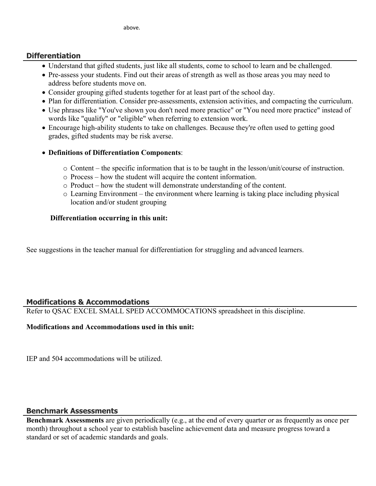#### **Differentiation**

- Understand that gifted students, just like all students, come to school to learn and be challenged.
- Pre-assess your students. Find out their areas of strength as well as those areas you may need to address before students move on.
- Consider grouping gifted students together for at least part of the school day.
- Plan for differentiation. Consider pre-assessments, extension activities, and compacting the curriculum.
- Use phrases like "You've shown you don't need more practice" or "You need more practice" instead of words like "qualify" or "eligible" when referring to extension work.
- Encourage high-ability students to take on challenges. Because they're often used to getting good grades, gifted students may be risk averse.

#### **Definitions of Differentiation Components**:

- $\circ$  Content the specific information that is to be taught in the lesson/unit/course of instruction.
- o Process how the student will acquire the content information.
- o Product how the student will demonstrate understanding of the content.
- $\circ$  Learning Environment the environment where learning is taking place including physical location and/or student grouping

#### **Differentiation occurring in this unit:**

See suggestions in the teacher manual for differentiation for struggling and advanced learners.

# **Modifications & Accommodations**

Refer to QSAC EXCEL SMALL SPED ACCOMMOCATIONS spreadsheet in this discipline.

#### **Modifications and Accommodations used in this unit:**

IEP and 504 accommodations will be utilized.

# **Benchmark Assessments**

**Benchmark Assessments** are given periodically (e.g., at the end of every quarter or as frequently as once per month) throughout a school year to establish baseline achievement data and measure progress toward a standard or set of academic standards and goals.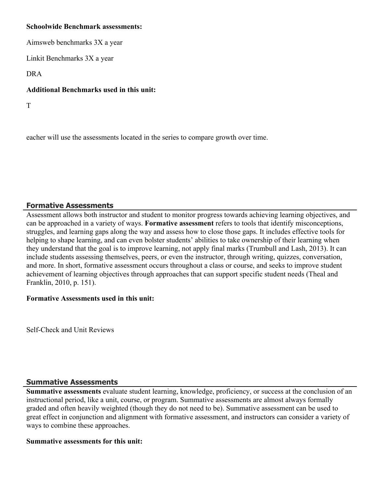#### **Schoolwide Benchmark assessments:**

Aimsweb benchmarks 3X a year

Linkit Benchmarks 3X a year

DRA

#### **Additional Benchmarks used in this unit:**

T

eacher will use the assessments located in the series to compare growth over time.

# **Formative Assessments**

Assessment allows both instructor and student to monitor progress towards achieving learning objectives, and can be approached in a variety of ways. **Formative assessment** refers to tools that identify misconceptions, struggles, and learning gaps along the way and assess how to close those gaps. It includes effective tools for helping to shape learning, and can even bolster students' abilities to take ownership of their learning when they understand that the goal is to improve learning, not apply final marks (Trumbull and Lash, 2013). It can include students assessing themselves, peers, or even the instructor, through writing, quizzes, conversation, and more. In short, formative assessment occurs throughout a class or course, and seeks to improve student achievement of learning objectives through approaches that can support specific student needs (Theal and Franklin, 2010, p. 151).

#### **Formative Assessments used in this unit:**

Self-Check and Unit Reviews

# **Summative Assessments**

**Summative assessments** evaluate student learning, knowledge, proficiency, or success at the conclusion of an instructional period, like a unit, course, or program. Summative assessments are almost always formally graded and often heavily weighted (though they do not need to be). Summative assessment can be used to great effect in conjunction and alignment with formative assessment, and instructors can consider a variety of ways to combine these approaches.

#### **Summative assessments for this unit:**